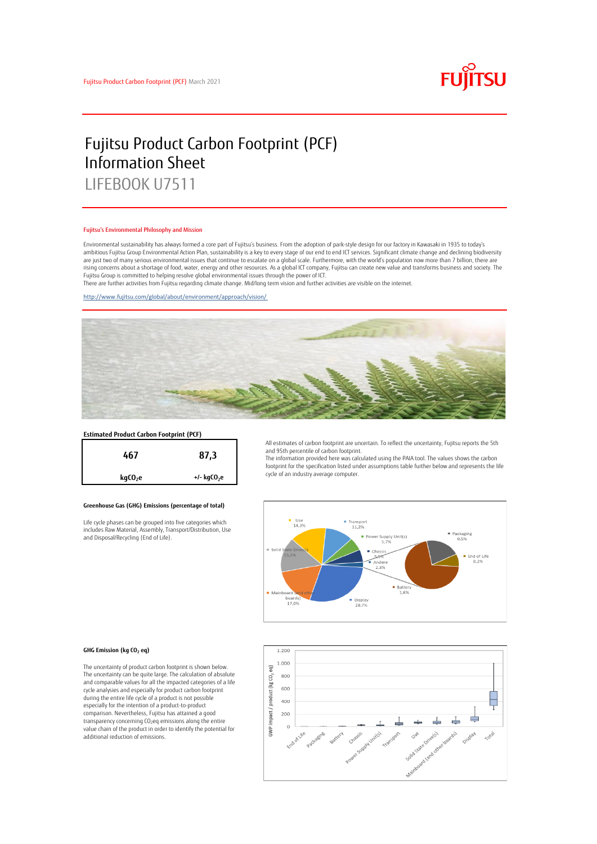

# Fujitsu Product Carbon Footprint (PCF) Information Sheet LIFEBOOK U7511

#### Fujitsu's Environmental Philosophy and Mission

Environmental sustainability has always formed a core part of Fujitsu's business. From the adoption of park-style design for our factory in Kawasaki in 1935 to today's ambitious Fujitsu Group Environmental Action Plan, sustainability is a key to every stage of our end to end ICT services. Significant climate change and declining biodiversity are just two of many serious environmental issues that continue to escalate on a global scale. Furthermore, with the world's population now more than 7 billion, there are<br>rising concerns about a shortage of food, water, en Fujitsu Group is committed to helping resolve global environmental issues through the power of ICT.

There are further activities from Fujitsu regarding climate change. Mid/long term vision and further activities are visible on the internet.

<http://www.fujitsu.com/global/about/environment/approach/vision/>



# **Estimated Product Carbon Footprint (PCF)**



### **Greenhouse Gas (GHG) Emissions (percentage of total)**

Life cycle phases can be grouped into five categories which includes Raw Material, Assembly, Transport/Distribution, Use and Disposal/Recycling (End of Life).

All estimates of carbon footprint are uncertain. To reflect the uncertainty, Fujitsu reports the 5th and 95th percentile of carbon footprint.

The information provided here was calculated using the PAIA tool. The values shows the carbon footprint for the specification listed under assumptions table further below and represents the life cycle of an industry average computer.



#### **GHG Emission (kg CO<sup>2</sup> eq)**

The uncertainty of product carbon footprint is shown below. The uncertainty can be quite large. The calculation of absolute and comparable values for all the impacted categories of a life cycle analysies and especially for product carbon footprint during the entire life cycle of a product is not possible especially for the intention of a product-to-product comparison. Nevertheless, Fujitsu has attained a good transparency concerning CO2eq emissions along the entire value chain of the product in order to identify the potential for additional reduction of emissions.